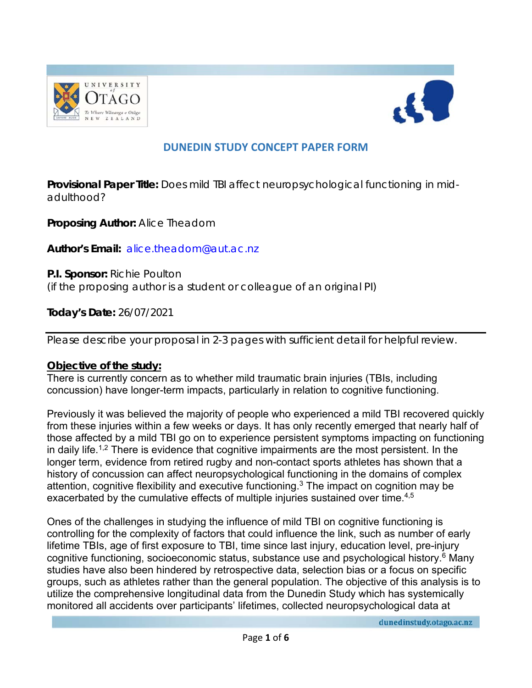



# **DUNEDIN STUDY CONCEPT PAPER FORM**

**Provisional Paper Title:** Does mild TBI affect neuropsychological functioning in midadulthood?

**Proposing Author:** Alice Theadom

**Author's Email:** alice.theadom@aut.ac.nz

**P.I. Sponsor:** Richie Poulton (if the proposing author is a student or colleague of an original PI)

**Today's Date:** 26/07/2021

Please describe your proposal in 2-3 pages with sufficient detail for helpful review.

#### **Objective of the study:**

There is currently concern as to whether mild traumatic brain injuries (TBIs, including concussion) have longer-term impacts, particularly in relation to cognitive functioning.

Previously it was believed the majority of people who experienced a mild TBI recovered quickly from these injuries within a few weeks or days. It has only recently emerged that nearly half of those affected by a mild TBI go on to experience persistent symptoms impacting on functioning in daily life.<sup>1,2</sup> There is evidence that cognitive impairments are the most persistent. In the longer term, evidence from retired rugby and non-contact sports athletes has shown that a history of concussion can affect neuropsychological functioning in the domains of complex attention, cognitive flexibility and executive functioning.<sup>3</sup> The impact on cognition may be exacerbated by the cumulative effects of multiple injuries sustained over time.<sup>4,5</sup>

Ones of the challenges in studying the influence of mild TBI on cognitive functioning is controlling for the complexity of factors that could influence the link, such as number of early lifetime TBIs, age of first exposure to TBI, time since last injury, education level, pre-injury cognitive functioning, socioeconomic status, substance use and psychological history.6 Many studies have also been hindered by retrospective data, selection bias or a focus on specific groups, such as athletes rather than the general population. The objective of this analysis is to utilize the comprehensive longitudinal data from the Dunedin Study which has systemically monitored all accidents over participants' lifetimes, collected neuropsychological data at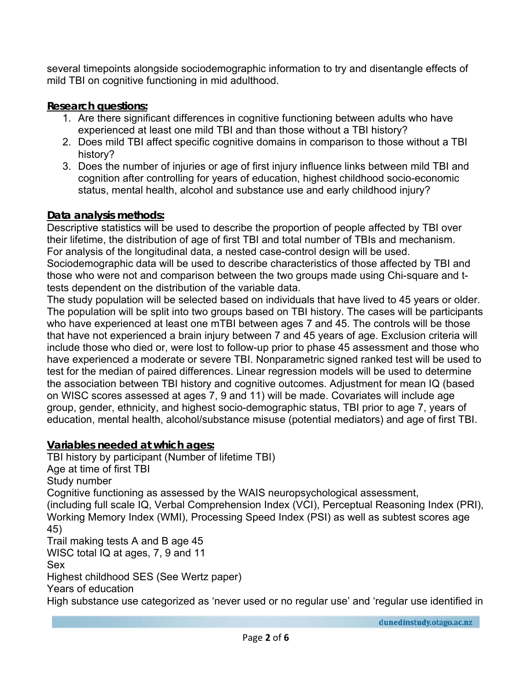several timepoints alongside sociodemographic information to try and disentangle effects of mild TBI on cognitive functioning in mid adulthood.

# **Research questions:**

- 1. Are there significant differences in cognitive functioning between adults who have experienced at least one mild TBI and than those without a TBI history?
- 2. Does mild TBI affect specific cognitive domains in comparison to those without a TBI history?
- 3. Does the number of injuries or age of first injury influence links between mild TBI and cognition after controlling for years of education, highest childhood socio-economic status, mental health, alcohol and substance use and early childhood injury?

# **Data analysis methods:**

Descriptive statistics will be used to describe the proportion of people affected by TBI over their lifetime, the distribution of age of first TBI and total number of TBIs and mechanism. For analysis of the longitudinal data, a nested case-control design will be used. Sociodemographic data will be used to describe characteristics of those affected by TBI and those who were not and comparison between the two groups made using Chi-square and ttests dependent on the distribution of the variable data.

The study population will be selected based on individuals that have lived to 45 years or older. The population will be split into two groups based on TBI history. The cases will be participants who have experienced at least one mTBI between ages 7 and 45. The controls will be those that have not experienced a brain injury between 7 and 45 years of age. Exclusion criteria will include those who died or, were lost to follow-up prior to phase 45 assessment and those who have experienced a moderate or severe TBI. Nonparametric signed ranked test will be used to test for the median of paired differences. Linear regression models will be used to determine the association between TBI history and cognitive outcomes. Adjustment for mean IQ (based on WISC scores assessed at ages 7, 9 and 11) will be made. Covariates will include age group, gender, ethnicity, and highest socio-demographic status, TBI prior to age 7, years of education, mental health, alcohol/substance misuse (potential mediators) and age of first TBI.

**Variables needed at which ages:**  TBI history by participant (Number of lifetime TBI) Age at time of first TBI Study number Cognitive functioning as assessed by the WAIS neuropsychological assessment, (including full scale IQ, Verbal Comprehension Index (VCI), Perceptual Reasoning Index (PRI), Working Memory Index (WMI), Processing Speed Index (PSI) as well as subtest scores age 45) Trail making tests A and B age 45 WISC total IQ at ages, 7, 9 and 11 Sex Highest childhood SES (See Wertz paper) Years of education High substance use categorized as 'never used or no regular use' and 'regular use identified in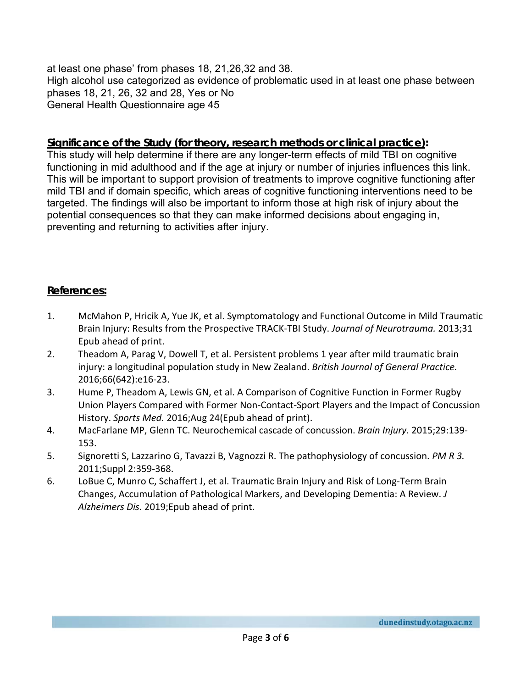at least one phase' from phases 18, 21,26,32 and 38. High alcohol use categorized as evidence of problematic used in at least one phase between phases 18, 21, 26, 32 and 28, Yes or No General Health Questionnaire age 45

#### **Significance of the Study (for theory, research methods or clinical practice):**

This study will help determine if there are any longer-term effects of mild TBI on cognitive functioning in mid adulthood and if the age at injury or number of injuries influences this link. This will be important to support provision of treatments to improve cognitive functioning after mild TBI and if domain specific, which areas of cognitive functioning interventions need to be targeted. The findings will also be important to inform those at high risk of injury about the potential consequences so that they can make informed decisions about engaging in, preventing and returning to activities after injury.

### **References:**

- 1. McMahon P, Hricik A, Yue JK, et al. Symptomatology and Functional Outcome in Mild Traumatic Brain Injury: Results from the Prospective TRACK‐TBI Study. *Journal of Neurotrauma.* 2013;31 Epub ahead of print.
- 2. Theadom A, Parag V, Dowell T, et al. Persistent problems 1 year after mild traumatic brain injury: a longitudinal population study in New Zealand. *British Journal of General Practice.*  2016;66(642):e16‐23.
- 3. Hume P, Theadom A, Lewis GN, et al. A Comparison of Cognitive Function in Former Rugby Union Players Compared with Former Non‐Contact‐Sport Players and the Impact of Concussion History. *Sports Med.* 2016;Aug 24(Epub ahead of print).
- 4. MacFarlane MP, Glenn TC. Neurochemical cascade of concussion. *Brain Injury.* 2015;29:139‐ 153.
- 5. Signoretti S, Lazzarino G, Tavazzi B, Vagnozzi R. The pathophysiology of concussion. *PM R 3.*  2011;Suppl 2:359‐368.
- 6. LoBue C, Munro C, Schaffert J, et al. Traumatic Brain Injury and Risk of Long‐Term Brain Changes, Accumulation of Pathological Markers, and Developing Dementia: A Review. *J Alzheimers Dis.* 2019;Epub ahead of print.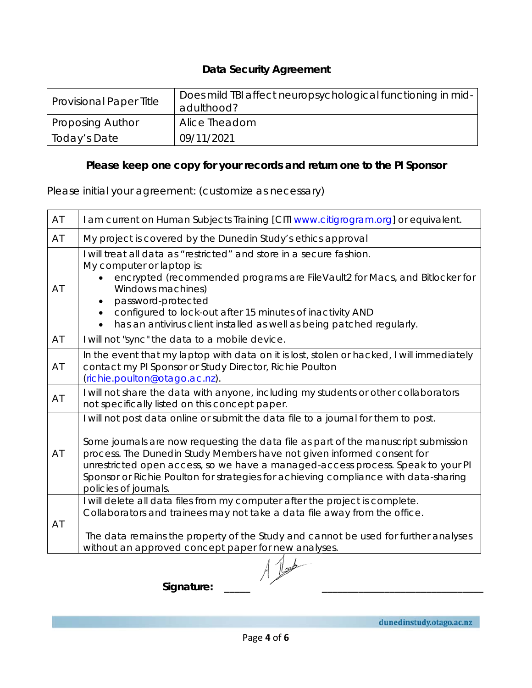# **Data Security Agreement**

| <b>Provisional Paper Title</b> | Does mild TBI affect neuropsychological functioning in mid-<br>adulthood? |
|--------------------------------|---------------------------------------------------------------------------|
| <b>Proposing Author</b>        | Alice Theadom                                                             |
| Today's Date                   | 09/11/2021                                                                |

# *Please keep one copy for your records and return one to the PI Sponsor*

Please initial your agreement: (customize as necessary)

| AT         | I am current on Human Subjects Training [CITI www.citigrogram.org] or equivalent.                                                                                                                                                                                                                                                                                                                                                                      |  |
|------------|--------------------------------------------------------------------------------------------------------------------------------------------------------------------------------------------------------------------------------------------------------------------------------------------------------------------------------------------------------------------------------------------------------------------------------------------------------|--|
| AT         | My project is covered by the Dunedin Study's ethics approval                                                                                                                                                                                                                                                                                                                                                                                           |  |
| AT         | I will treat all data as "restricted" and store in a secure fashion.<br>My computer or laptop is:<br>encrypted (recommended programs are FileVault2 for Macs, and Bitlocker for<br>Windows machines)<br>password-protected<br>configured to lock-out after 15 minutes of inactivity AND<br>has an antivirus client installed as well as being patched regularly.                                                                                       |  |
| AT         | I will not "sync" the data to a mobile device.                                                                                                                                                                                                                                                                                                                                                                                                         |  |
| AT         | In the event that my laptop with data on it is lost, stolen or hacked, I will immediately<br>contact my PI Sponsor or Study Director, Richie Poulton<br>(richie.poulton@otago.ac.nz).                                                                                                                                                                                                                                                                  |  |
| AT         | I will not share the data with anyone, including my students or other collaborators<br>not specifically listed on this concept paper.                                                                                                                                                                                                                                                                                                                  |  |
| AT         | I will not post data online or submit the data file to a journal for them to post.<br>Some journals are now requesting the data file as part of the manuscript submission<br>process. The Dunedin Study Members have not given informed consent for<br>unrestricted open access, so we have a managed-access process. Speak to your PI<br>Sponsor or Richie Poulton for strategies for achieving compliance with data-sharing<br>policies of journals. |  |
| AT         | I will delete all data files from my computer after the project is complete.<br>Collaborators and trainees may not take a data file away from the office.<br>The data remains the property of the Study and cannot be used for further analyses<br>without an approved concept paper for new analyses.                                                                                                                                                 |  |
|            |                                                                                                                                                                                                                                                                                                                                                                                                                                                        |  |
| Signature: |                                                                                                                                                                                                                                                                                                                                                                                                                                                        |  |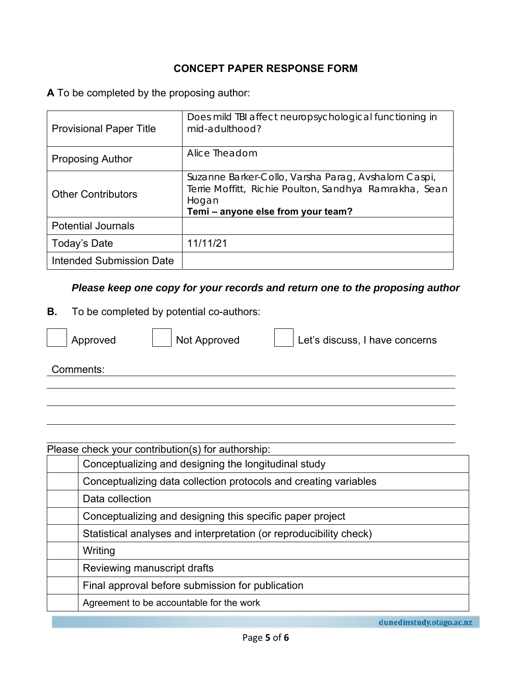# **CONCEPT PAPER RESPONSE FORM**

**A** To be completed by the proposing author:

| <b>Provisional Paper Title</b> | Does mild TBI affect neuropsychological functioning in<br>mid-adulthood?                                                                                     |
|--------------------------------|--------------------------------------------------------------------------------------------------------------------------------------------------------------|
| <b>Proposing Author</b>        | Alice Theadom                                                                                                                                                |
| <b>Other Contributors</b>      | Suzanne Barker-Collo, Varsha Parag, Avshalom Caspi,<br>Terrie Moffitt, Richie Poulton, Sandhya Ramrakha, Sean<br>Hogan<br>Temi - anyone else from your team? |
| <b>Potential Journals</b>      |                                                                                                                                                              |
| Today's Date                   | 11/11/21                                                                                                                                                     |
| Intended Submission Date       |                                                                                                                                                              |

### *Please keep one copy for your records and return one to the proposing author*

**B.** To be completed by potential co-authors:



Approved  $\left|\right|$  Not Approved  $\left|\right|$  Let's discuss, I have concerns

Comments:

| Conceptualizing and designing the longitudinal study<br>Conceptualizing data collection protocols and creating variables<br>Data collection<br>Conceptualizing and designing this specific paper project<br>Statistical analyses and interpretation (or reproducibility check)<br>Writing<br>Reviewing manuscript drafts<br>Final approval before submission for publication | Please check your contribution(s) for authorship: |  |  |
|------------------------------------------------------------------------------------------------------------------------------------------------------------------------------------------------------------------------------------------------------------------------------------------------------------------------------------------------------------------------------|---------------------------------------------------|--|--|
|                                                                                                                                                                                                                                                                                                                                                                              |                                                   |  |  |
|                                                                                                                                                                                                                                                                                                                                                                              |                                                   |  |  |
|                                                                                                                                                                                                                                                                                                                                                                              |                                                   |  |  |
|                                                                                                                                                                                                                                                                                                                                                                              |                                                   |  |  |
|                                                                                                                                                                                                                                                                                                                                                                              |                                                   |  |  |
|                                                                                                                                                                                                                                                                                                                                                                              |                                                   |  |  |
|                                                                                                                                                                                                                                                                                                                                                                              |                                                   |  |  |
|                                                                                                                                                                                                                                                                                                                                                                              |                                                   |  |  |
| Agreement to be accountable for the work                                                                                                                                                                                                                                                                                                                                     |                                                   |  |  |

dunedinstudy.otago.ac.nz